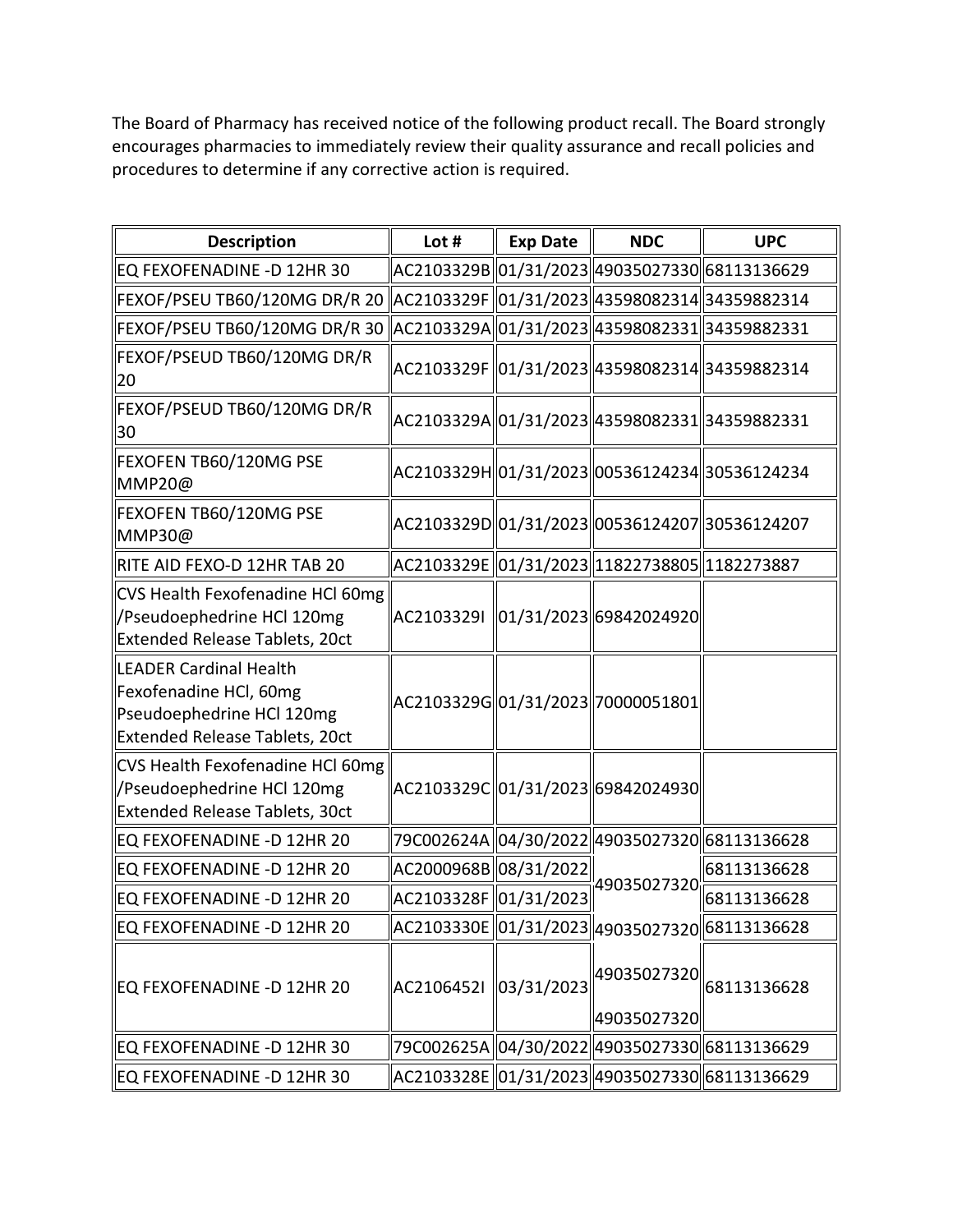The Board of Pharmacy has received notice of the following product recall. The Board strongly encourages pharmacies to immediately review their quality assurance and recall policies and procedures to determine if any corrective action is required.

| <b>Description</b>                                                                                              | Lot #                 | <b>Exp Date</b> | <b>NDC</b>                                                                                                                         | <b>UPC</b>                                   |
|-----------------------------------------------------------------------------------------------------------------|-----------------------|-----------------|------------------------------------------------------------------------------------------------------------------------------------|----------------------------------------------|
| EQ FEXOFENADINE -D 12HR 30                                                                                      |                       |                 | AC2103329B  01/31/2023  49035027330  68113136629                                                                                   |                                              |
| FEXOF/PSEU TB60/120MG DR/R 20   AC2103329F   01/31/2023  43598082314  34359882314                               |                       |                 |                                                                                                                                    |                                              |
| FEXOF/PSEU TB60/120MG DR/R 30   AC2103329A  01/31/2023  43598082331  34359882331                                |                       |                 |                                                                                                                                    |                                              |
| FEXOF/PSEUD TB60/120MG DR/R<br>20                                                                               |                       |                 | AC2103329F   01/31/2023  43598082314  34359882314                                                                                  |                                              |
| FEXOF/PSEUD TB60/120MG DR/R<br>30                                                                               |                       |                 | AC2103329A  01/31/2023  43598082331  34359882331                                                                                   |                                              |
| FEXOFEN TB60/120MG PSE<br>MMP20@                                                                                |                       |                 | AC2103329H  01/31/2023  00536124234  30536124234                                                                                   |                                              |
| FEXOFEN TB60/120MG PSE<br>MMP30@                                                                                |                       |                 | AC2103329D  01/31/2023  00536124207  30536124207                                                                                   |                                              |
| RITE AID FEXO-D 12HR TAB 20                                                                                     |                       |                 | AC2103329E   01/31/2023  11822738805  1182273887                                                                                   |                                              |
| CVS Health Fexofenadine HCl 60mg<br>/Pseudoephedrine HCl 120mg<br><b>Extended Release Tablets, 20ct</b>         |                       |                 | AC2103329I   01/31/2023  69842024920                                                                                               |                                              |
| LEADER Cardinal Health<br>Fexofenadine HCl, 60mg<br>Pseudoephedrine HCl 120mg<br>Extended Release Tablets, 20ct |                       |                 | AC2103329G 01/31/2023 70000051801                                                                                                  |                                              |
| CVS Health Fexofenadine HCl 60mg<br>/Pseudoephedrine HCl 120mg<br><b>Extended Release Tablets, 30ct</b>         |                       |                 | AC2103329C  01/31/2023  69842024930                                                                                                |                                              |
| EQ FEXOFENADINE -D 12HR 20                                                                                      |                       |                 | 79C002624A 04/30/2022 49035027320 68113136628                                                                                      |                                              |
| EQ FEXOFENADINE -D 12HR 20                                                                                      | AC2000968B 08/31/2022 |                 | 49035027320                                                                                                                        | 68113136628                                  |
| EQ FEXOFENADINE -D 12HR 20                                                                                      | AC2103328F 01/31/2023 |                 |                                                                                                                                    | 68113136628                                  |
| EQ FEXOFENADINE -D 12HR 20                                                                                      |                       |                 | $\sqrt{\textsf{AC2103330E}}\textcolor{blue}{\ket{01/31/2023}}\textcolor{red}{\ket{49035027320}}\textcolor{red}{\ket{68113136628}}$ |                                              |
| EQ FEXOFENADINE -D 12HR 20                                                                                      | AC2106452I            | 03/31/2023      | 49035027320                                                                                                                        | $\big 49035027320\big \big 68113136628\big $ |
| EQ FEXOFENADINE -D 12HR 30                                                                                      |                       |                 | 79C002625A 04/30/2022 49035027330 68113136629                                                                                      |                                              |
| EQ FEXOFENADINE -D 12HR 30                                                                                      |                       |                 | AC2103328E   01/31/2023  49035027330  68113136629                                                                                  |                                              |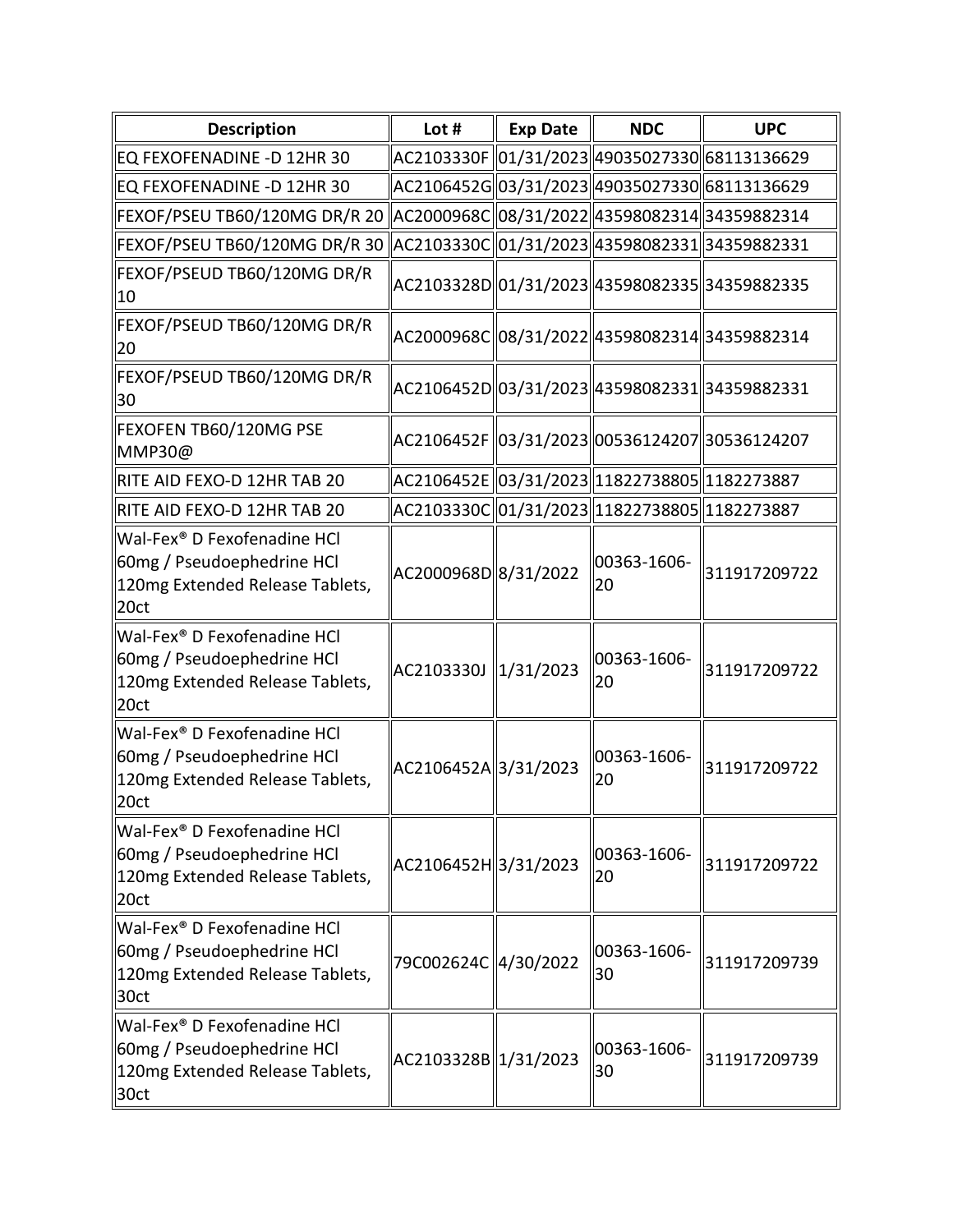| <b>Description</b>                                                                                               | Lot #                | <b>Exp Date</b> | <b>NDC</b>                                       | <b>UPC</b>   |
|------------------------------------------------------------------------------------------------------------------|----------------------|-----------------|--------------------------------------------------|--------------|
| EQ FEXOFENADINE -D 12HR 30                                                                                       |                      |                 | AC2103330F 01/31/2023 49035027330 68113136629    |              |
| EQ FEXOFENADINE -D 12HR 30                                                                                       |                      |                 | AC2106452G 03/31/2023  49035027330  68113136629  |              |
| FEXOF/PSEU TB60/120MG DR/R 20                                                                                    |                      |                 | AC2000968C  08/31/2022  43598082314  34359882314 |              |
| FEXOF/PSEU TB60/120MG DR/R 30                                                                                    |                      |                 | AC2103330C  01/31/2023  43598082331  34359882331 |              |
| FEXOF/PSEUD TB60/120MG DR/R<br>10                                                                                |                      |                 | AC2103328D 01/31/2023  43598082335  34359882335  |              |
| FEXOF/PSEUD TB60/120MG DR/R<br>20                                                                                |                      |                 | AC2000968C 08/31/2022  43598082314  34359882314  |              |
| FEXOF/PSEUD TB60/120MG DR/R<br>30                                                                                |                      |                 | AC2106452D  03/31/2023  43598082331  34359882331 |              |
| FEXOFEN TB60/120MG PSE<br>MMP30@                                                                                 |                      |                 | AC2106452F 03/31/2023 00536124207 30536124207    |              |
| RITE AID FEXO-D 12HR TAB 20                                                                                      |                      |                 | AC2106452E 03/31/2023 1822738805 182273887       |              |
| RITE AID FEXO-D 12HR TAB 20                                                                                      |                      |                 | AC2103330C 01/31/2023  11822738805  1182273887   |              |
| Wal-Fex <sup>®</sup> D Fexofenadine HCl<br>60mg / Pseudoephedrine HCl<br>120mg Extended Release Tablets,<br>20ct | AC2000968D 8/31/2022 |                 | 00363-1606-<br>20                                | 311917209722 |
| Wal-Fex <sup>®</sup> D Fexofenadine HCl<br>60mg / Pseudoephedrine HCl<br>120mg Extended Release Tablets,<br>20ct | AC2103330J 1/31/2023 |                 | 00363-1606-<br>20                                | 311917209722 |
| Wal-Fex <sup>®</sup> D Fexofenadine HCl<br>60mg / Pseudoephedrine HCl<br>120mg Extended Release Tablets,<br>20ct | AC2106452A 3/31/2023 |                 | 00363-1606-<br>20                                | 311917209722 |
| Wal-Fex <sup>®</sup> D Fexofenadine HCl<br>60mg / Pseudoephedrine HCl<br>120mg Extended Release Tablets,<br>20ct | AC2106452H 3/31/2023 |                 | 00363-1606-<br>20                                | 311917209722 |
| Wal-Fex <sup>®</sup> D Fexofenadine HCl<br>60mg / Pseudoephedrine HCl<br>120mg Extended Release Tablets,<br>30ct | 79C002624C 4/30/2022 |                 | 00363-1606-<br>30                                | 311917209739 |
| Wal-Fex <sup>®</sup> D Fexofenadine HCl<br>60mg / Pseudoephedrine HCl<br>120mg Extended Release Tablets,<br>30ct | AC2103328B 1/31/2023 |                 | 00363-1606-<br>30                                | 311917209739 |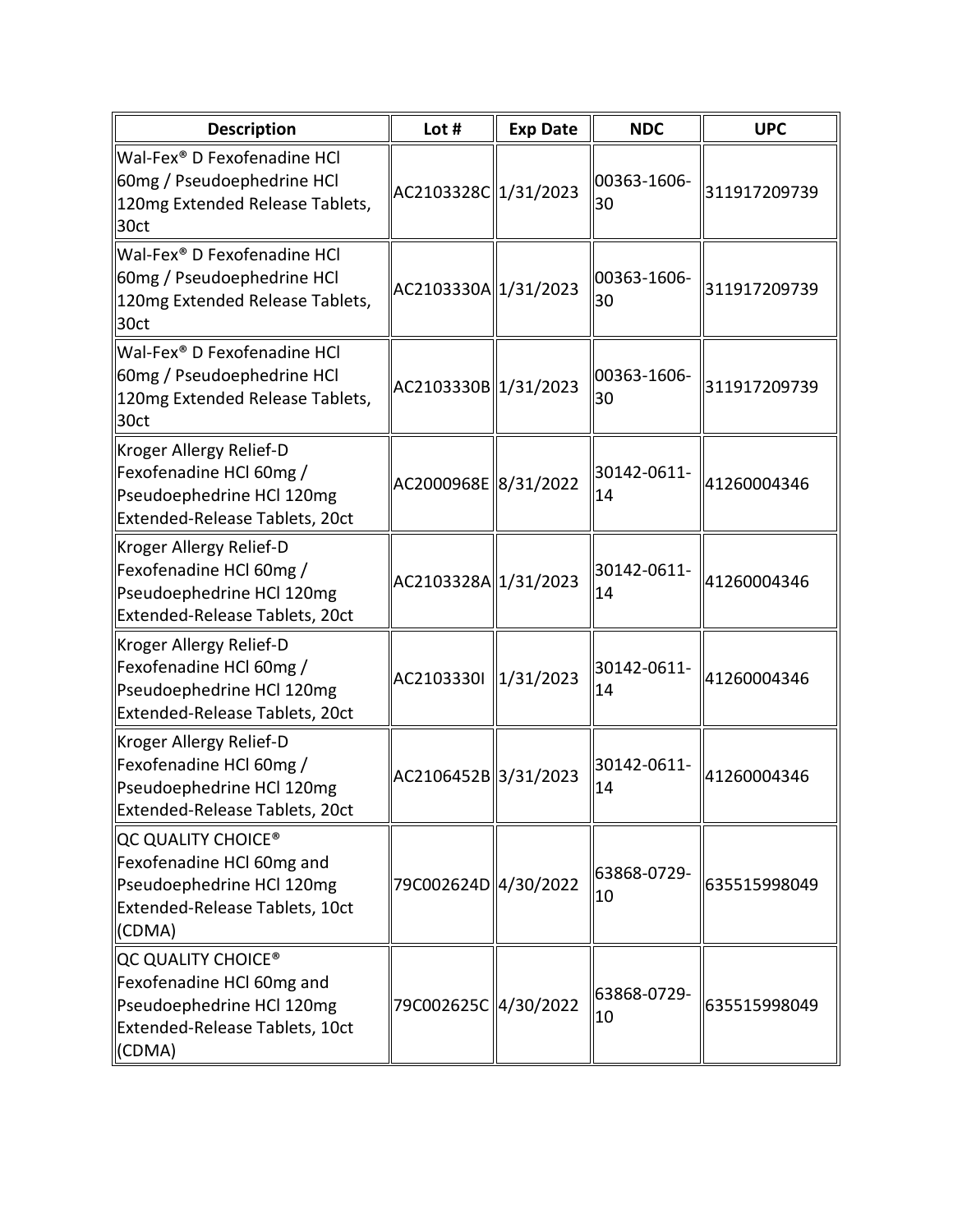| <b>Description</b>                                                                                                                   | Lot #                | <b>Exp Date</b> | <b>NDC</b>        | <b>UPC</b>   |
|--------------------------------------------------------------------------------------------------------------------------------------|----------------------|-----------------|-------------------|--------------|
| Wal-Fex® D Fexofenadine HCl<br>60mg / Pseudoephedrine HCl<br>120mg Extended Release Tablets,<br>30ct                                 | AC2103328C 1/31/2023 |                 | 00363-1606-<br>30 | 311917209739 |
| Wal-Fex® D Fexofenadine HCl<br>60mg / Pseudoephedrine HCl<br>120mg Extended Release Tablets,<br>30ct                                 | AC2103330A 1/31/2023 |                 | 00363-1606-<br>30 | 311917209739 |
| Wal-Fex <sup>®</sup> D Fexofenadine HCl<br>60mg / Pseudoephedrine HCl<br>120mg Extended Release Tablets,<br>30ct                     | AC2103330B 1/31/2023 |                 | 00363-1606-<br>30 | 311917209739 |
| Kroger Allergy Relief-D<br>Fexofenadine HCl 60mg /<br>Pseudoephedrine HCl 120mg<br>Extended-Release Tablets, 20ct                    | AC2000968E 8/31/2022 |                 | 30142-0611-<br>14 | 41260004346  |
| Kroger Allergy Relief-D<br>Fexofenadine HCl 60mg /<br>Pseudoephedrine HCl 120mg<br>Extended-Release Tablets, 20ct                    | AC2103328A 1/31/2023 |                 | 30142-0611-<br>14 | 41260004346  |
| Kroger Allergy Relief-D<br>Fexofenadine HCl 60mg /<br>Pseudoephedrine HCl 120mg<br>Extended-Release Tablets, 20ct                    | AC2103330I 2/31/2023 |                 | 30142-0611-<br>14 | 41260004346  |
| Kroger Allergy Relief-D<br>Fexofenadine HCl 60mg /<br>Pseudoephedrine HCl 120mg<br>Extended-Release Tablets, 20ct                    | AC2106452B 3/31/2023 |                 | 30142-0611-<br>14 | 41260004346  |
| QC QUALITY CHOICE <sup>®</sup><br>Fexofenadine HCl 60mg and<br>Pseudoephedrine HCl 120mg<br>Extended-Release Tablets, 10ct<br>(CDMA) | 79C002624D 4/30/2022 |                 | 63868-0729-<br>10 | 635515998049 |
| QC QUALITY CHOICE <sup>®</sup><br>Fexofenadine HCl 60mg and<br>Pseudoephedrine HCl 120mg<br>Extended-Release Tablets, 10ct<br>(CDMA) | 79C002625C 4/30/2022 |                 | 63868-0729-<br>10 | 635515998049 |